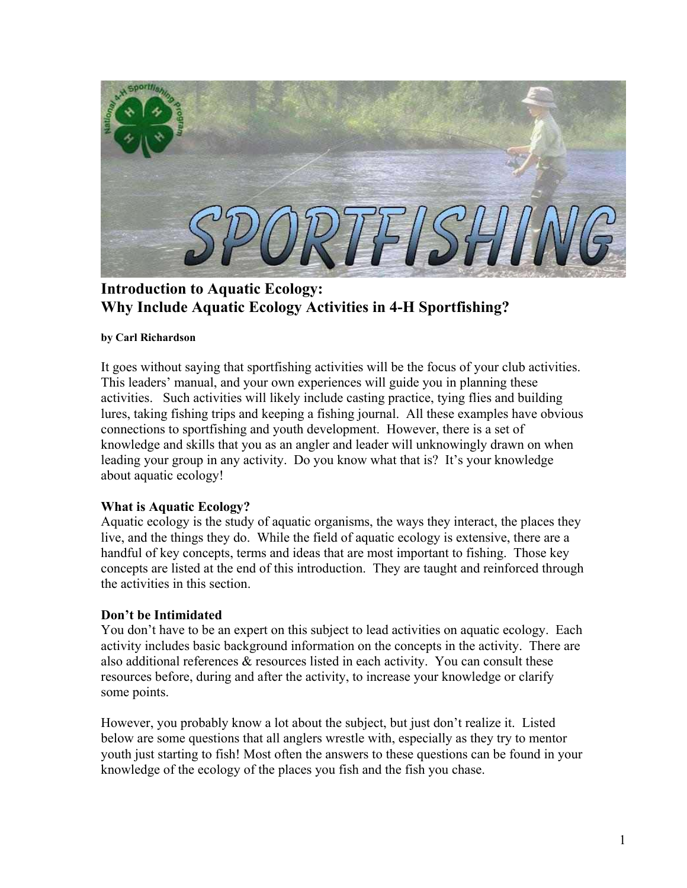

**Introduction to Aquatic Ecology: Why Include Aquatic Ecology Activities in 4-H Sportfishing?**

### **by Carl Richardson**

It goes without saying that sportfishing activities will be the focus of your club activities. This leaders' manual, and your own experiences will guide you in planning these activities. Such activities will likely include casting practice, tying flies and building lures, taking fishing trips and keeping a fishing journal. All these examples have obvious connections to sportfishing and youth development. However, there is a set of knowledge and skills that you as an angler and leader will unknowingly drawn on when leading your group in any activity. Do you know what that is? It's your knowledge about aquatic ecology!

## **What is Aquatic Ecology?**

Aquatic ecology is the study of aquatic organisms, the ways they interact, the places they live, and the things they do. While the field of aquatic ecology is extensive, there are a handful of key concepts, terms and ideas that are most important to fishing. Those key concepts are listed at the end of this introduction. They are taught and reinforced through the activities in this section.

# **Don't be Intimidated**

You don't have to be an expert on this subject to lead activities on aquatic ecology. Each activity includes basic background information on the concepts in the activity. There are also additional references & resources listed in each activity. You can consult these resources before, during and after the activity, to increase your knowledge or clarify some points.

However, you probably know a lot about the subject, but just don't realize it. Listed below are some questions that all anglers wrestle with, especially as they try to mentor youth just starting to fish! Most often the answers to these questions can be found in your knowledge of the ecology of the places you fish and the fish you chase.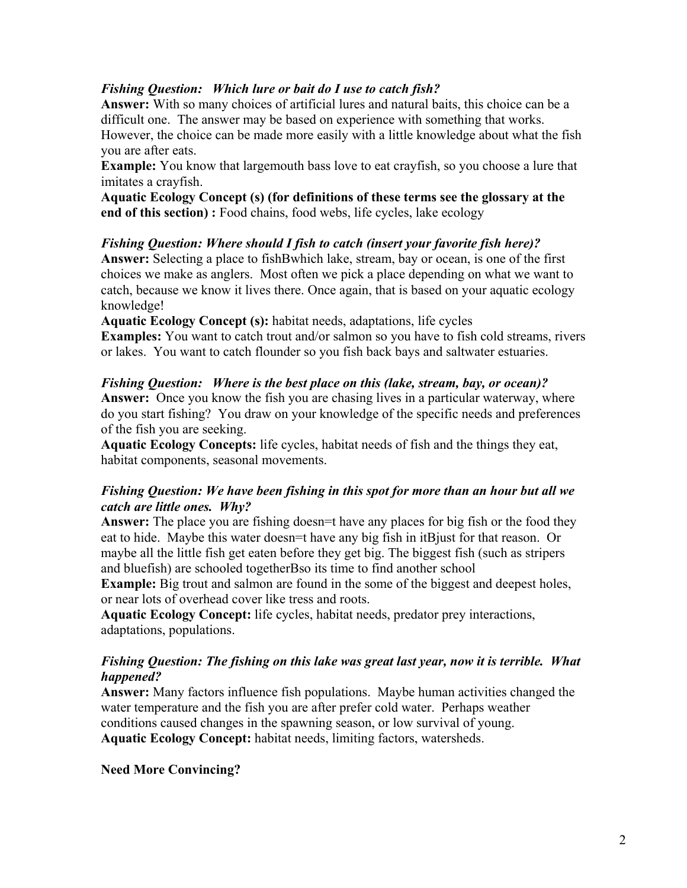# *Fishing Question: Which lure or bait do I use to catch fish?*

**Answer:** With so many choices of artificial lures and natural baits, this choice can be a difficult one. The answer may be based on experience with something that works. However, the choice can be made more easily with a little knowledge about what the fish you are after eats.

**Example:** You know that largemouth bass love to eat crayfish, so you choose a lure that imitates a crayfish.

**Aquatic Ecology Concept (s) (for definitions of these terms see the glossary at the end of this section) :** Food chains, food webs, life cycles, lake ecology

# *Fishing Question: Where should I fish to catch (insert your favorite fish here)?*

**Answer:** Selecting a place to fishBwhich lake, stream, bay or ocean, is one of the first choices we make as anglers. Most often we pick a place depending on what we want to catch, because we know it lives there. Once again, that is based on your aquatic ecology knowledge!

**Aquatic Ecology Concept (s):** habitat needs, adaptations, life cycles

**Examples:** You want to catch trout and/or salmon so you have to fish cold streams, rivers or lakes. You want to catch flounder so you fish back bays and saltwater estuaries.

*Fishing Question: Where is the best place on this (lake, stream, bay, or ocean)?* **Answer:** Once you know the fish you are chasing lives in a particular waterway, where do you start fishing? You draw on your knowledge of the specific needs and preferences of the fish you are seeking.

**Aquatic Ecology Concepts:** life cycles, habitat needs of fish and the things they eat, habitat components, seasonal movements.

# *Fishing Question: We have been fishing in this spot for more than an hour but all we catch are little ones. Why?*

Answer: The place you are fishing doesn=t have any places for big fish or the food they eat to hide. Maybe this water doesn=t have any big fish in itBjust for that reason. Or maybe all the little fish get eaten before they get big. The biggest fish (such as stripers and bluefish) are schooled togetherBso its time to find another school

**Example:** Big trout and salmon are found in the some of the biggest and deepest holes, or near lots of overhead cover like tress and roots.

**Aquatic Ecology Concept:** life cycles, habitat needs, predator prey interactions, adaptations, populations.

## *Fishing Question: The fishing on this lake was great last year, now it is terrible. What happened?*

**Answer:** Many factors influence fish populations. Maybe human activities changed the water temperature and the fish you are after prefer cold water. Perhaps weather conditions caused changes in the spawning season, or low survival of young. **Aquatic Ecology Concept:** habitat needs, limiting factors, watersheds.

# **Need More Convincing?**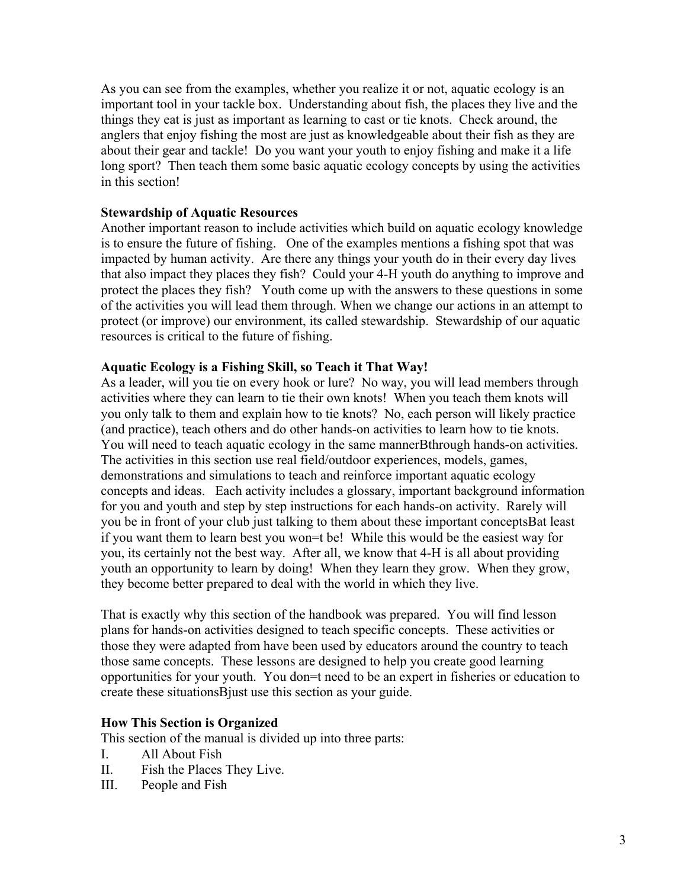As you can see from the examples, whether you realize it or not, aquatic ecology is an important tool in your tackle box. Understanding about fish, the places they live and the things they eat is just as important as learning to cast or tie knots. Check around, the anglers that enjoy fishing the most are just as knowledgeable about their fish as they are about their gear and tackle! Do you want your youth to enjoy fishing and make it a life long sport? Then teach them some basic aquatic ecology concepts by using the activities in this section!

### **Stewardship of Aquatic Resources**

Another important reason to include activities which build on aquatic ecology knowledge is to ensure the future of fishing. One of the examples mentions a fishing spot that was impacted by human activity. Are there any things your youth do in their every day lives that also impact they places they fish? Could your 4-H youth do anything to improve and protect the places they fish? Youth come up with the answers to these questions in some of the activities you will lead them through. When we change our actions in an attempt to protect (or improve) our environment, its called stewardship. Stewardship of our aquatic resources is critical to the future of fishing.

### **Aquatic Ecology is a Fishing Skill, so Teach it That Way!**

As a leader, will you tie on every hook or lure? No way, you will lead members through activities where they can learn to tie their own knots! When you teach them knots will you only talk to them and explain how to tie knots? No, each person will likely practice (and practice), teach others and do other hands-on activities to learn how to tie knots. You will need to teach aquatic ecology in the same mannerBthrough hands-on activities. The activities in this section use real field/outdoor experiences, models, games, demonstrations and simulations to teach and reinforce important aquatic ecology concepts and ideas. Each activity includes a glossary, important background information for you and youth and step by step instructions for each hands-on activity. Rarely will you be in front of your club just talking to them about these important conceptsBat least if you want them to learn best you won=t be! While this would be the easiest way for you, its certainly not the best way. After all, we know that 4-H is all about providing youth an opportunity to learn by doing! When they learn they grow. When they grow, they become better prepared to deal with the world in which they live.

That is exactly why this section of the handbook was prepared. You will find lesson plans for hands-on activities designed to teach specific concepts. These activities or those they were adapted from have been used by educators around the country to teach those same concepts. These lessons are designed to help you create good learning opportunities for your youth. You don=t need to be an expert in fisheries or education to create these situationsBjust use this section as your guide.

### **How This Section is Organized**

This section of the manual is divided up into three parts:

- I. All About Fish
- II. Fish the Places They Live.
- III. People and Fish